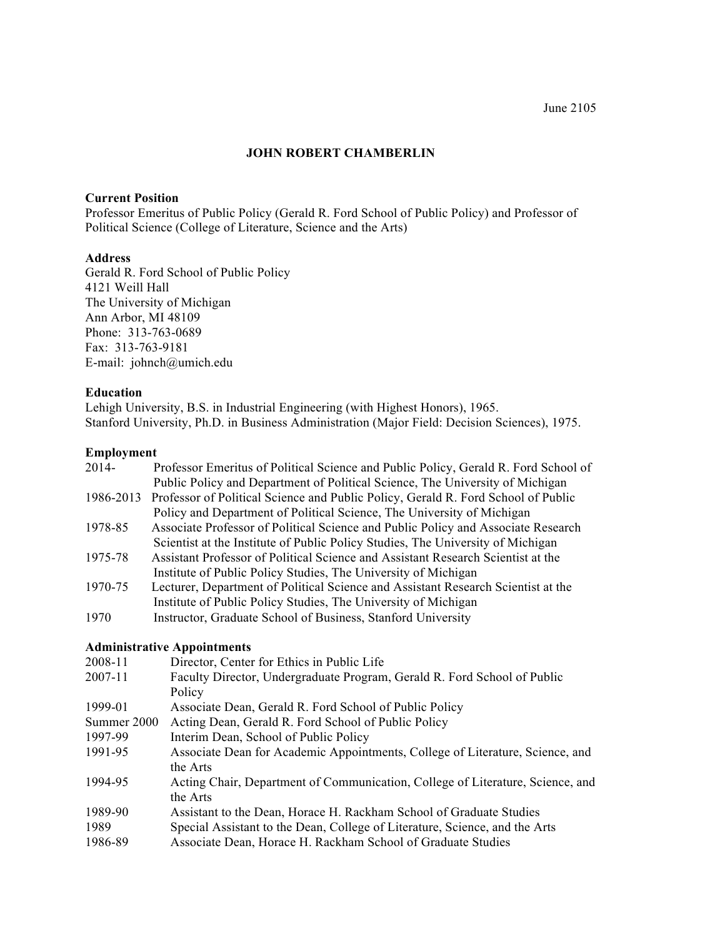# **JOHN ROBERT CHAMBERLIN**

#### **Current Position**

Professor Emeritus of Public Policy (Gerald R. Ford School of Public Policy) and Professor of Political Science (College of Literature, Science and the Arts)

#### **Address**

Gerald R. Ford School of Public Policy 4121 Weill Hall The University of Michigan Ann Arbor, MI 48109 Phone: 313-763-0689 Fax: 313-763-9181 E-mail: johnch@umich.edu

#### **Education**

Lehigh University, B.S. in Industrial Engineering (with Highest Honors), 1965. Stanford University, Ph.D. in Business Administration (Major Field: Decision Sciences), 1975.

#### **Employment**

| 2014-       | Professor Emeritus of Political Science and Public Policy, Gerald R. Ford School of |
|-------------|-------------------------------------------------------------------------------------|
|             | Public Policy and Department of Political Science, The University of Michigan       |
| 1986-2013   | Professor of Political Science and Public Policy, Gerald R. Ford School of Public   |
|             | Policy and Department of Political Science, The University of Michigan              |
| 1978-85     | Associate Professor of Political Science and Public Policy and Associate Research   |
|             | Scientist at the Institute of Public Policy Studies, The University of Michigan     |
| 1975-78     | Assistant Professor of Political Science and Assistant Research Scientist at the    |
|             | Institute of Public Policy Studies, The University of Michigan                      |
| 1970-75     | Lecturer, Department of Political Science and Assistant Research Scientist at the   |
|             | Institute of Public Policy Studies, The University of Michigan                      |
| 1970        | Instructor, Graduate School of Business, Stanford University                        |
|             | <b>Administrative Appointments</b>                                                  |
| 2008-11     | Director, Center for Ethics in Public Life                                          |
| 2007-11     | Faculty Director, Undergraduate Program, Gerald R. Ford School of Public            |
|             | Policy                                                                              |
| 1999-01     | Associate Dean, Gerald R. Ford School of Public Policy                              |
| Summer 2000 | Acting Dean, Gerald R. Ford School of Public Policy                                 |
| 1997-99     | Interim Dean, School of Public Policy                                               |
| 1991-95     | Associate Dean for Academic Appointments, College of Literature, Science, and       |
|             | the Arts                                                                            |
| 1994-95     | Acting Chair, Department of Communication, College of Literature, Science, and      |
|             | the Arts                                                                            |
| 1989-90     | Assistant to the Dean, Horace H. Rackham School of Graduate Studies                 |
| 1989        | Special Assistant to the Dean, College of Literature, Science, and the Arts         |
| 1986-89     | Associate Dean, Horace H. Rackham School of Graduate Studies                        |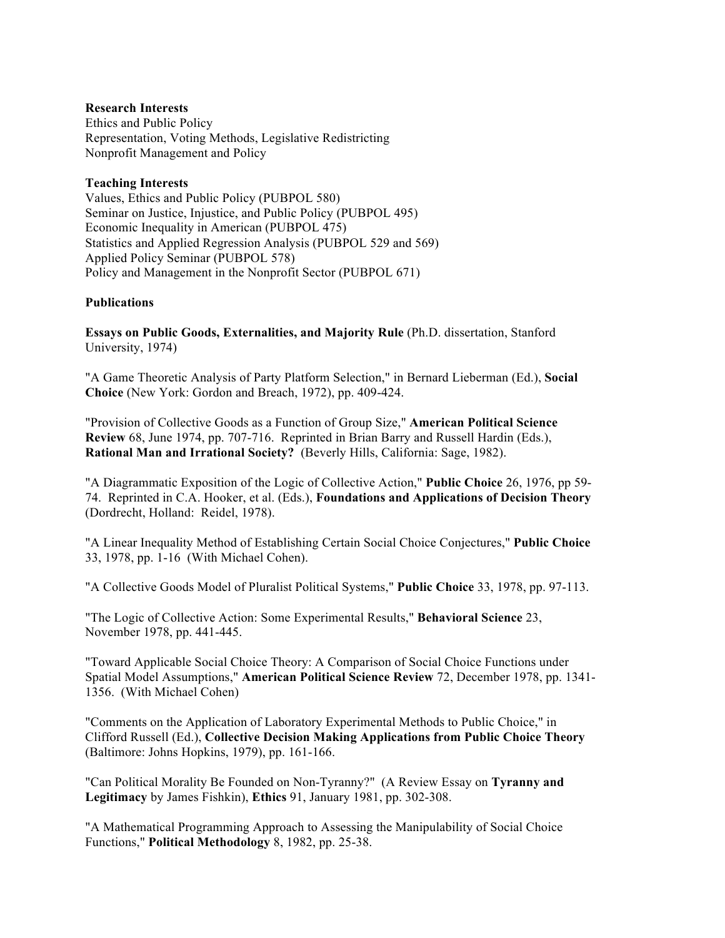#### **Research Interests**

Ethics and Public Policy Representation, Voting Methods, Legislative Redistricting Nonprofit Management and Policy

#### **Teaching Interests**

Values, Ethics and Public Policy (PUBPOL 580) Seminar on Justice, Injustice, and Public Policy (PUBPOL 495) Economic Inequality in American (PUBPOL 475) Statistics and Applied Regression Analysis (PUBPOL 529 and 569) Applied Policy Seminar (PUBPOL 578) Policy and Management in the Nonprofit Sector (PUBPOL 671)

# **Publications**

**Essays on Public Goods, Externalities, and Majority Rule** (Ph.D. dissertation, Stanford University, 1974)

"A Game Theoretic Analysis of Party Platform Selection," in Bernard Lieberman (Ed.), **Social Choice** (New York: Gordon and Breach, 1972), pp. 409-424.

"Provision of Collective Goods as a Function of Group Size," **American Political Science Review** 68, June 1974, pp. 707-716. Reprinted in Brian Barry and Russell Hardin (Eds.), **Rational Man and Irrational Society?** (Beverly Hills, California: Sage, 1982).

"A Diagrammatic Exposition of the Logic of Collective Action," **Public Choice** 26, 1976, pp 59- 74. Reprinted in C.A. Hooker, et al. (Eds.), **Foundations and Applications of Decision Theory** (Dordrecht, Holland: Reidel, 1978).

"A Linear Inequality Method of Establishing Certain Social Choice Conjectures," **Public Choice** 33, 1978, pp. 1-16 (With Michael Cohen).

"A Collective Goods Model of Pluralist Political Systems," **Public Choice** 33, 1978, pp. 97-113.

"The Logic of Collective Action: Some Experimental Results," **Behavioral Science** 23, November 1978, pp. 441-445.

"Toward Applicable Social Choice Theory: A Comparison of Social Choice Functions under Spatial Model Assumptions," **American Political Science Review** 72, December 1978, pp. 1341- 1356. (With Michael Cohen)

"Comments on the Application of Laboratory Experimental Methods to Public Choice," in Clifford Russell (Ed.), **Collective Decision Making Applications from Public Choice Theory** (Baltimore: Johns Hopkins, 1979), pp. 161-166.

"Can Political Morality Be Founded on Non-Tyranny?" (A Review Essay on **Tyranny and Legitimacy** by James Fishkin), **Ethics** 91, January 1981, pp. 302-308.

"A Mathematical Programming Approach to Assessing the Manipulability of Social Choice Functions," **Political Methodology** 8, 1982, pp. 25-38.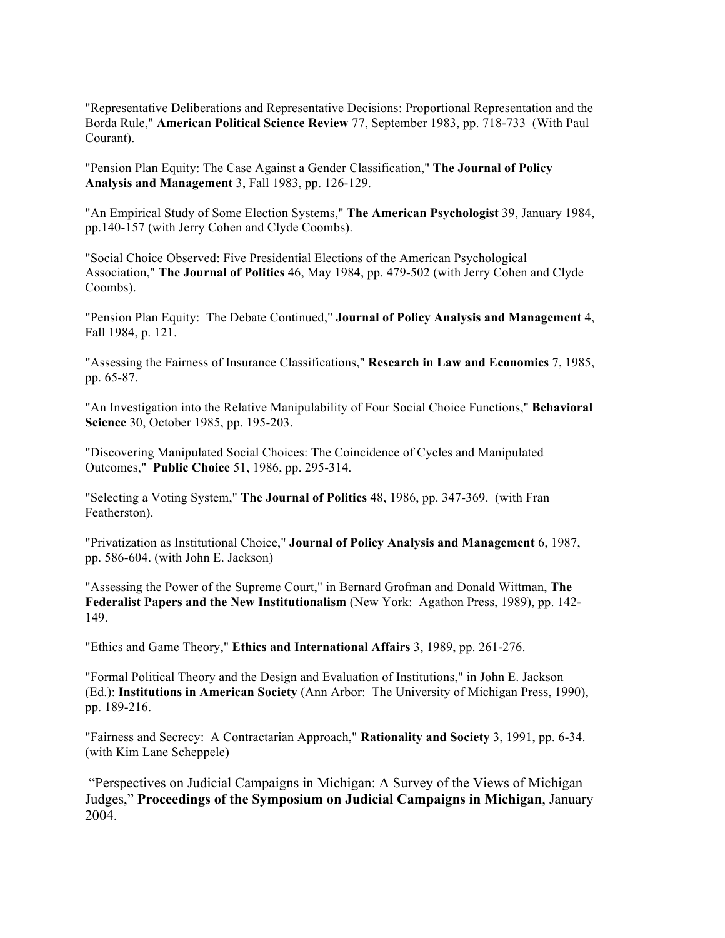"Representative Deliberations and Representative Decisions: Proportional Representation and the Borda Rule," **American Political Science Review** 77, September 1983, pp. 718-733 (With Paul Courant).

"Pension Plan Equity: The Case Against a Gender Classification," **The Journal of Policy Analysis and Management** 3, Fall 1983, pp. 126-129.

"An Empirical Study of Some Election Systems," **The American Psychologist** 39, January 1984, pp.140-157 (with Jerry Cohen and Clyde Coombs).

"Social Choice Observed: Five Presidential Elections of the American Psychological Association," **The Journal of Politics** 46, May 1984, pp. 479-502 (with Jerry Cohen and Clyde Coombs).

"Pension Plan Equity: The Debate Continued," **Journal of Policy Analysis and Management** 4, Fall 1984, p. 121.

"Assessing the Fairness of Insurance Classifications," **Research in Law and Economics** 7, 1985, pp. 65-87.

"An Investigation into the Relative Manipulability of Four Social Choice Functions," **Behavioral Science** 30, October 1985, pp. 195-203.

"Discovering Manipulated Social Choices: The Coincidence of Cycles and Manipulated Outcomes," **Public Choice** 51, 1986, pp. 295-314.

"Selecting a Voting System," **The Journal of Politics** 48, 1986, pp. 347-369. (with Fran Featherston).

"Privatization as Institutional Choice," **Journal of Policy Analysis and Management** 6, 1987, pp. 586-604. (with John E. Jackson)

"Assessing the Power of the Supreme Court," in Bernard Grofman and Donald Wittman, **The Federalist Papers and the New Institutionalism** (New York: Agathon Press, 1989), pp. 142- 149.

"Ethics and Game Theory," **Ethics and International Affairs** 3, 1989, pp. 261-276.

"Formal Political Theory and the Design and Evaluation of Institutions," in John E. Jackson (Ed.): **Institutions in American Society** (Ann Arbor: The University of Michigan Press, 1990), pp. 189-216.

"Fairness and Secrecy: A Contractarian Approach," **Rationality and Society** 3, 1991, pp. 6-34. (with Kim Lane Scheppele)

"Perspectives on Judicial Campaigns in Michigan: A Survey of the Views of Michigan Judges," **Proceedings of the Symposium on Judicial Campaigns in Michigan**, January 2004.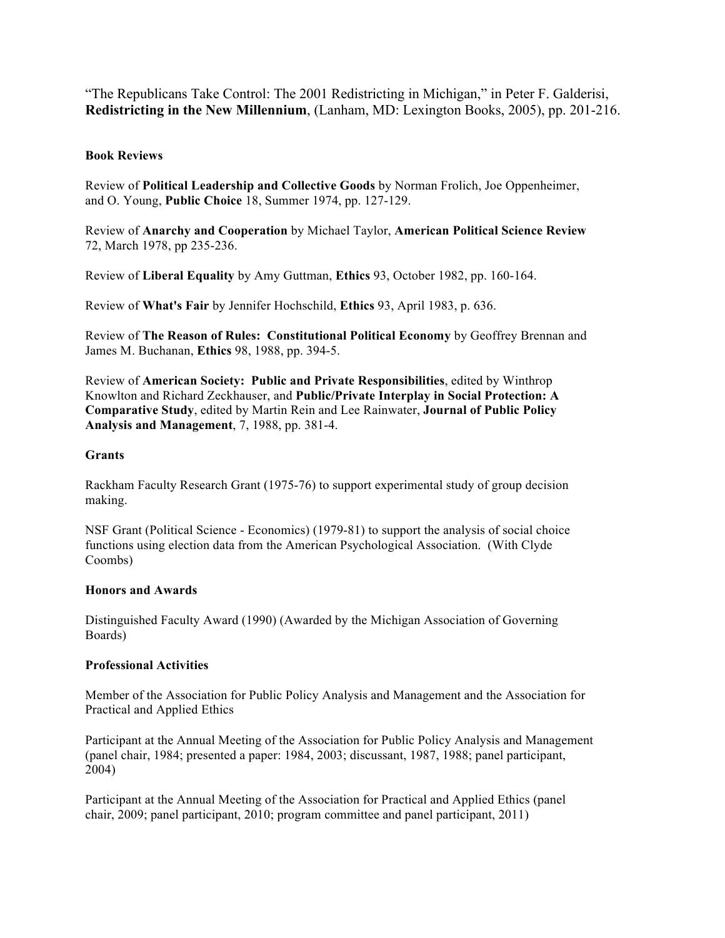"The Republicans Take Control: The 2001 Redistricting in Michigan," in Peter F. Galderisi, **Redistricting in the New Millennium**, (Lanham, MD: Lexington Books, 2005), pp. 201-216.

# **Book Reviews**

Review of **Political Leadership and Collective Goods** by Norman Frolich, Joe Oppenheimer, and O. Young, **Public Choice** 18, Summer 1974, pp. 127-129.

Review of **Anarchy and Cooperation** by Michael Taylor, **American Political Science Review** 72, March 1978, pp 235-236.

Review of **Liberal Equality** by Amy Guttman, **Ethics** 93, October 1982, pp. 160-164.

Review of **What's Fair** by Jennifer Hochschild, **Ethics** 93, April 1983, p. 636.

Review of **The Reason of Rules: Constitutional Political Economy** by Geoffrey Brennan and James M. Buchanan, **Ethics** 98, 1988, pp. 394-5.

Review of **American Society: Public and Private Responsibilities**, edited by Winthrop Knowlton and Richard Zeckhauser, and **Public/Private Interplay in Social Protection: A Comparative Study**, edited by Martin Rein and Lee Rainwater, **Journal of Public Policy Analysis and Management**, 7, 1988, pp. 381-4.

# **Grants**

Rackham Faculty Research Grant (1975-76) to support experimental study of group decision making.

NSF Grant (Political Science - Economics) (1979-81) to support the analysis of social choice functions using election data from the American Psychological Association. (With Clyde Coombs)

# **Honors and Awards**

Distinguished Faculty Award (1990) (Awarded by the Michigan Association of Governing Boards)

# **Professional Activities**

Member of the Association for Public Policy Analysis and Management and the Association for Practical and Applied Ethics

Participant at the Annual Meeting of the Association for Public Policy Analysis and Management (panel chair, 1984; presented a paper: 1984, 2003; discussant, 1987, 1988; panel participant, 2004)

Participant at the Annual Meeting of the Association for Practical and Applied Ethics (panel chair, 2009; panel participant, 2010; program committee and panel participant, 2011)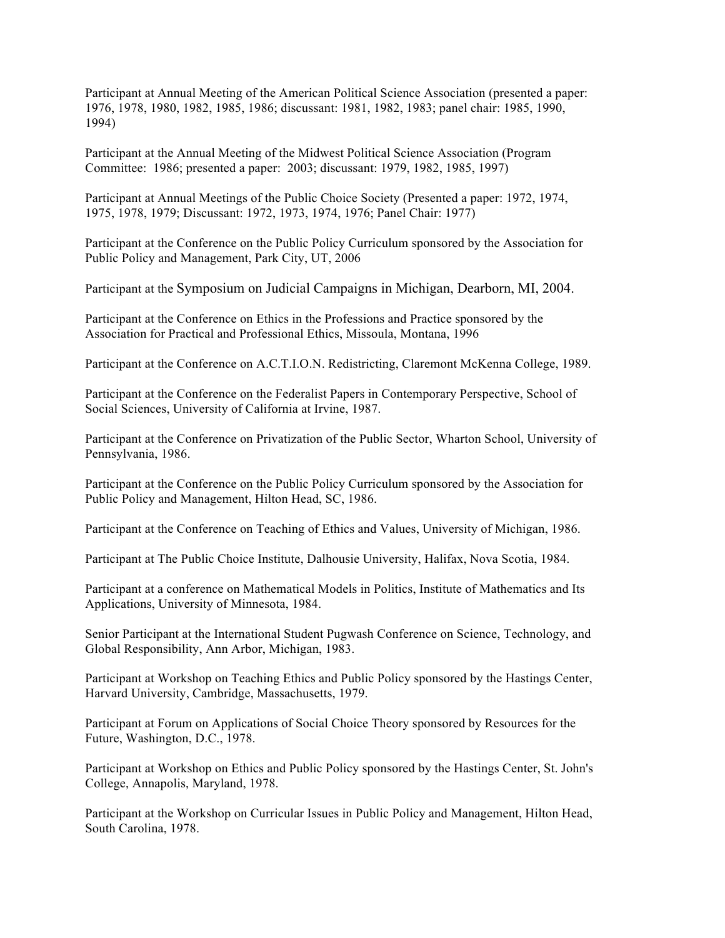Participant at Annual Meeting of the American Political Science Association (presented a paper: 1976, 1978, 1980, 1982, 1985, 1986; discussant: 1981, 1982, 1983; panel chair: 1985, 1990, 1994)

Participant at the Annual Meeting of the Midwest Political Science Association (Program Committee: 1986; presented a paper: 2003; discussant: 1979, 1982, 1985, 1997)

Participant at Annual Meetings of the Public Choice Society (Presented a paper: 1972, 1974, 1975, 1978, 1979; Discussant: 1972, 1973, 1974, 1976; Panel Chair: 1977)

Participant at the Conference on the Public Policy Curriculum sponsored by the Association for Public Policy and Management, Park City, UT, 2006

Participant at the Symposium on Judicial Campaigns in Michigan, Dearborn, MI, 2004.

Participant at the Conference on Ethics in the Professions and Practice sponsored by the Association for Practical and Professional Ethics, Missoula, Montana, 1996

Participant at the Conference on A.C.T.I.O.N. Redistricting, Claremont McKenna College, 1989.

Participant at the Conference on the Federalist Papers in Contemporary Perspective, School of Social Sciences, University of California at Irvine, 1987.

Participant at the Conference on Privatization of the Public Sector, Wharton School, University of Pennsylvania, 1986.

Participant at the Conference on the Public Policy Curriculum sponsored by the Association for Public Policy and Management, Hilton Head, SC, 1986.

Participant at the Conference on Teaching of Ethics and Values, University of Michigan, 1986.

Participant at The Public Choice Institute, Dalhousie University, Halifax, Nova Scotia, 1984.

Participant at a conference on Mathematical Models in Politics, Institute of Mathematics and Its Applications, University of Minnesota, 1984.

Senior Participant at the International Student Pugwash Conference on Science, Technology, and Global Responsibility, Ann Arbor, Michigan, 1983.

Participant at Workshop on Teaching Ethics and Public Policy sponsored by the Hastings Center, Harvard University, Cambridge, Massachusetts, 1979.

Participant at Forum on Applications of Social Choice Theory sponsored by Resources for the Future, Washington, D.C., 1978.

Participant at Workshop on Ethics and Public Policy sponsored by the Hastings Center, St. John's College, Annapolis, Maryland, 1978.

Participant at the Workshop on Curricular Issues in Public Policy and Management, Hilton Head, South Carolina, 1978.